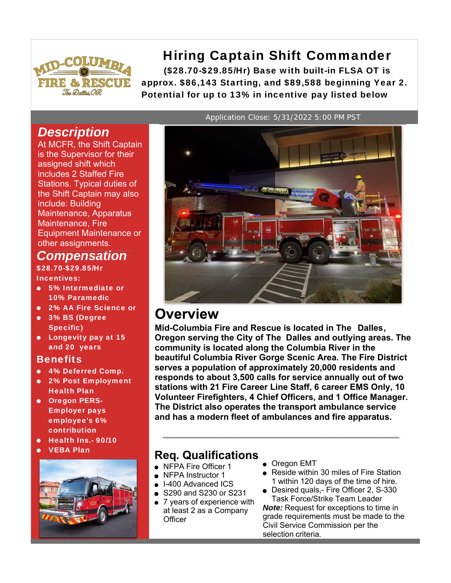

# Hiring Captain Shift Commander

(\$28.70-\$29.85/Hr) Base with built-in FLSA OT is approx. \$86,143 Starting, and \$89,588 beginning Year 2. Potential for up to 13% in incentive pay listed below

# *Description*

At MCFR, the Shift Captain is the Supervisor for their assigned shift which includes 2 Staffed Fire Stations. Typical duties of the Shift Captain may also include: Building Maintenance, Apparatus Maintenance, Fire Equipment Maintenance or other assignments.

# *Compensation*

\$28.70-\$29.85/Hr Incentives:

- 5% Intermediate or 10% Paramedic
- 2% AA Fire Science or
- 3% BS (Degree Specific)
- **•** Longevity pay at 15 and 20 years

### Benefits

- 4% Deferred Comp.
- 2% Post Employment Health Plan
- **Oregon PERS-**Employer pays employee's 6% contribution
- Health Ins.- 90/10
- 



Application Close: 5/31/2022 5:00 PM PST



# **Overview**

**Mid-Columbia Fire and Rescue is located in The Dalles, Oregon serving the City of The Dalles and outlying areas. The community is located along the Columbia River in the beautiful Columbia River Gorge Scenic Area. The Fire District serves a population of approximately 20,000 residents and responds to about 3,500 calls for service annually out of two stations with 21 Fire Career Line Staff, 6 career EMS Only, 10 Volunteer Firefighters, 4 Chief Officers, and 1 Office Manager. The District also operates the transport ambulance service and has a modern fleet of ambulances and fire apparatus.**

# VEBA Plan **Req. Qualifications**

- NFPA Fire Officer 1
- NFPA Instructor 1
- I-400 Advanced ICS
- S290 and S230 or S231
- 7 years of experience with at least 2 as a Company **Officer**
- Oregon EMT
- Reside within 30 miles of Fire Station 1 within 120 days of the time of hire.
- Desired quals,- Fire Officer 2, S-330 Task Force/Strike Team Leader

*Note:* Request for exceptions to time in grade requirements must be made to the Civil Service Commission per the selection criteria.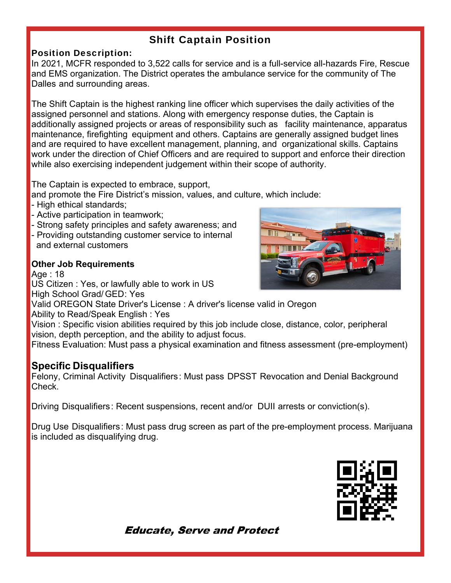# Shift Captain Position

### Position Description:

In 2021, MCFR responded to 3,522 calls for service and is a full-service all-hazards Fire, Rescue and EMS organization. The District operates the ambulance service for the community of The Dalles and surrounding areas.

The Shift Captain is the highest ranking line officer which supervises the daily activities of the assigned personnel and stations. Along with emergency response duties, the Captain is additionally assigned projects or areas of responsibility such as facility maintenance, apparatus maintenance, firefighting equipment and others. Captains are generally assigned budget lines and are required to have excellent management, planning, and organizational skills. Captains work under the direction of Chief Officers and are required to support and enforce their direction while also exercising independent judgement within their scope of authority.

The Captain is expected to embrace, support,

and promote the Fire District's mission, values, and culture, which include:

- High ethical standards;
- Active participation in teamwork;
- Strong safety principles and safety awareness; and
- Providing outstanding customer service to internal and external customers

### **Other Job Requirements**

Age : 18

US Citizen : Yes, or lawfully able to work in US

High School Grad/ GED: Yes

Valid OREGON State Driver's License : A driver's license valid in Oregon

Ability to Read/Speak English : Yes

Vision : Specific vision abilities required by this job include close, distance, color, peripheral vision, depth perception, and the ability to adjust focus.

Fitness Evaluation: Must pass a physical examination and fitness assessment (pre-employment)

## **Specific Disqualifiers**

Felony, Criminal Activity Disqualifiers: Must pass DPSST Revocation and Denial Background Check.

Driving Disqualifiers: Recent suspensions, recent and/or DUII arrests or conviction(s).

Drug Use Disqualifiers: Must pass drug screen as part of the pre-employment process. Marijuana is included as disqualifying drug.



**Educate, Serve and Protect**